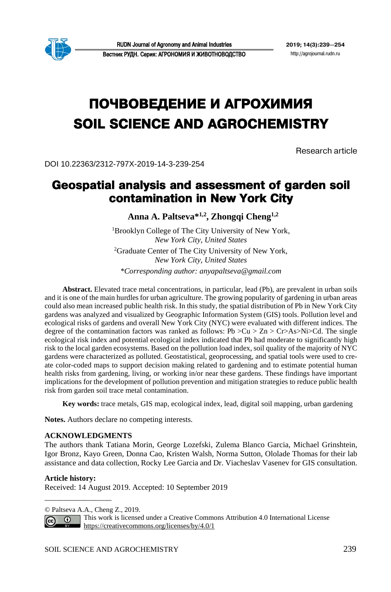

# **ПОЧВОВЕДЕНИЕ И АГРОХИМИЯ SOIL SCIENCE AND AGROCHEMISTRY**

Research article

DOI 10.22363/2312-797X-2019-14-3-239-254

# **Geospatial analysis and assessment of garden soil contamination in New York City**

**Anna A. Paltseva\*1,2, Zhongqi Cheng1,2**

<sup>1</sup>Brooklyn College of The City University of New York, *New York City, United States* 2 Graduate Center of The City University of New York, *New York City, United States*

*\*Corresponding author: anyapaltseva@gmail.com*

**Abstract.** Elevated trace metal concentrations, in particular, lead (Pb), are prevalent in urban soils and it is one of the main hurdles for urban agriculture. The growing popularity of gardening in urban areas could also mean increased public health risk. In this study, the spatial distribution of Pb in New York City gardens was analyzed and visualized by Geographic Information System (GIS) tools. Pollution level and ecological risks of gardens and overall New York City (NYC) were evaluated with different indices. The degree of the contamination factors was ranked as follows:  $Pb > Cu > Zn > Cr > As > Ni > Cd$ . The single ecological risk index and potential ecological index indicated that Pb had moderate to significantly high risk to the local garden ecosystems. Based on the pollution load index, soil quality of the majority of NYC gardens were characterized as polluted. Geostatistical, geoprocessing, and spatial tools were used to create color-coded maps to support decision making related to gardening and to estimate potential human health risks from gardening, living, or working in/or near these gardens. These findings have important implications for the development of pollution prevention and mitigation strategies to reduce public health risk from garden soil trace metal contamination.

**Key words:** trace metals, GIS map, ecological index, lead, digital soil mapping, urban gardening

**Notes.** Authors declare no competing interests.

#### **ACKNOWLEDGMENTS**

The authors thank Tatiana Morin, George Lozefski, Zulema Blanco Garcia, Michael Grinshtein, Igor Bronz, Kayo Green, Donna Cao, Kristen Walsh, Norma Sutton, Ololade Thomas for their lab assistance and data collection, Rocky Lee Garcia and Dr. Viacheslav Vasenev for GIS consultation.

#### **Article history:**

\_\_\_\_\_\_\_\_\_\_\_\_\_\_\_\_\_

Received: 14 August 2019. Accepted: 10 September 2019

© Paltseva A.A., Cheng Z., 2019.

This work is licensed under a Creative Commons Attribution 4.0 International License  $\overline{0}$ <https://creativecommons.org/licenses/by/4.0/1>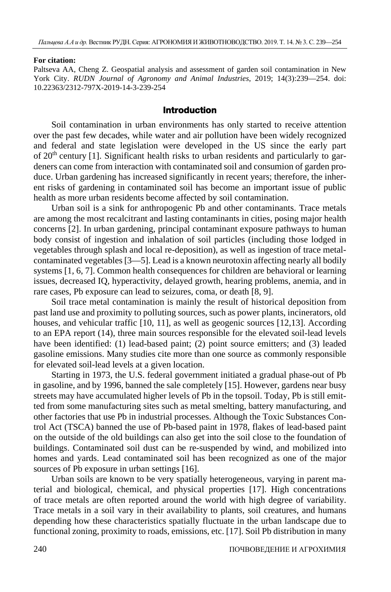#### **For citation:**

Paltseva AA, Cheng Z. Geospatial analysis and assessment of garden soil contamination in New York City. *RUDN Journal of Agronomy and Animal Industries*, 2019; 14(3):239—254. doi: 10.22363/2312-797X-2019-14-3-239-254

#### **Introduction**

Soil contamination in urban environments has only started to receive attention over the past few decades, while water and air pollution have been widely recognized and federal and state legislation were developed in the US since the early part of  $20<sup>th</sup>$  century [1]. Significant health risks to urban residents and particularly to gardeners can come from interaction with contaminated soil and consumion of garden produce. Urban gardening has increased significantly in recent years; therefore, the inherent risks of gardening in contaminated soil has become an important issue of public health as more urban residents become affected by soil contamination.

Urban soil is a sink for anthropogenic Pb and other contaminants. Trace metals are among the most recalcitrant and lasting contaminants in cities, posing major health concerns [2]. In urban gardening, principal contaminant exposure pathways to human body consist of ingestion and inhalation of soil particles (including those lodged in vegetables through splash and local re-deposition), as well as ingestion of trace metalcontaminated vegetables [3—5]. Lead is a known neurotoxin affecting nearly all bodily systems [1, 6, 7]. Common health consequences for children are behavioral or learning issues, decreased IQ, hyperactivity, delayed growth, hearing problems, anemia, and in rare cases, Pb exposure can lead to seizures, coma, or death [8, 9].

Soil trace metal contamination is mainly the result of historical deposition from past land use and proximity to polluting sources, such as power plants, incinerators, old houses, and vehicular traffic [10, 11], as well as geogenic sources [12,13]. According to an EPA report (14), three main sources responsible for the elevated soil-lead levels have been identified: (1) lead-based paint; (2) point source emitters; and (3) leaded gasoline emissions. Many studies cite more than one source as commonly responsible for elevated soil-lead levels at a given location.

Starting in 1973, the U.S. federal government initiated a gradual phase-out of Pb in gasoline, and by 1996, banned the sale completely [15]. However, gardens near busy streets may have accumulated higher levels of Pb in the topsoil. Today, Pb is still emitted from some manufacturing sites such as metal smelting, battery manufacturing, and other factories that use Pb in industrial processes. Although the Toxic Substances Control Act (TSCA) banned the use of Pb-based paint in 1978, flakes of lead-based paint on the outside of the old buildings can also get into the soil close to the foundation of buildings. Contaminated soil dust can be re-suspended by wind, and mobilized into homes and yards. Lead contaminated soil has been recognized as one of the major sources of Pb exposure in urban settings [16].

Urban soils are known to be very spatially heterogeneous, varying in parent material and biological, chemical, and physical properties [17]. High concentrations of trace metals are often reported around the world with high degree of variability. Trace metals in a soil vary in their availability to plants, soil creatures, and humans depending how these characteristics spatially fluctuate in the urban landscape due to functional zoning, proximity to roads, emissions, etc. [17]. Soil Pb distribution in many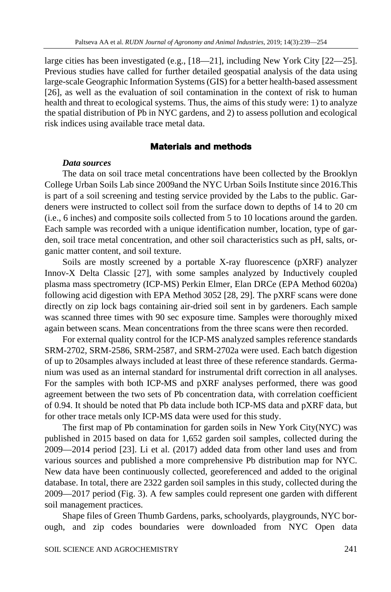large cities has been investigated (e.g., [18—21], including New York City [22—25]. Previous studies have called for further detailed geospatial analysis of the data using large-scale Geographic Information Systems (GIS) for a better health-based assessment [26], as well as the evaluation of soil contamination in the context of risk to human health and threat to ecological systems. Thus, the aims of this study were: 1) to analyze the spatial distribution of Pb in NYC gardens, and 2) to assess pollution and ecological risk indices using available trace metal data.

#### **Materials and methods**

#### *Data sources*

The data on soil trace metal concentrations have been collected by the Brooklyn College Urban Soils Lab since 2009and the NYC Urban Soils Institute since 2016.This is part of a soil screening and testing service provided by the Labs to the public. Gardeners were instructed to collect soil from the surface down to depths of 14 to 20 cm (i.e., 6 inches) and composite soils collected from 5 to 10 locations around the garden. Each sample was recorded with a unique identification number, location, type of garden, soil trace metal concentration, and other soil characteristics such as pH, salts, organic matter content, and soil texture.

Soils are mostly screened by a portable X-ray fluorescence (pXRF) analyzer Innov-X Delta Classic [27], with some samples analyzed by Inductively coupled plasma mass spectrometry (ICP-MS) Perkin Elmer, Elan DRCe (EPA Method 6020a) following acid digestion with EPA Method 3052 [28, 29]. The pXRF scans were done directly on zip lock bags containing air-dried soil sent in by gardeners. Each sample was scanned three times with 90 sec exposure time. Samples were thoroughly mixed again between scans. Mean concentrations from the three scans were then recorded.

For external quality control for the ICP-MS analyzed samples reference standards SRM-2702, SRM-2586, SRM-2587, and SRM-2702a were used. Each batch digestion of up to 20samples always included at least three of these reference standards. Germanium was used as an internal standard for instrumental drift correction in all analyses. For the samples with both ICP-MS and pXRF analyses performed, there was good agreement between the two sets of Pb concentration data, with correlation coefficient of 0.94. It should be noted that Pb data include both ICP-MS data and pXRF data, but for other trace metals only ICP-MS data were used for this study.

The first map of Pb contamination for garden soils in New York City(NYC) was published in 2015 based on data for 1,652 garden soil samples, collected during the 2009—2014 period [23]. Li et al. (2017) added data from other land uses and from various sources and published a more comprehensive Pb distribution map for NYC. New data have been continuously collected, georeferenced and added to the original database. In total, there are 2322 garden soil samples in this study, collected during the 2009—2017 period (Fig. 3). A few samples could represent one garden with different soil management practices.

Shape files of Green Thumb Gardens, parks, schoolyards, playgrounds, NYC borough, and zip codes boundaries were downloaded from NYC Open data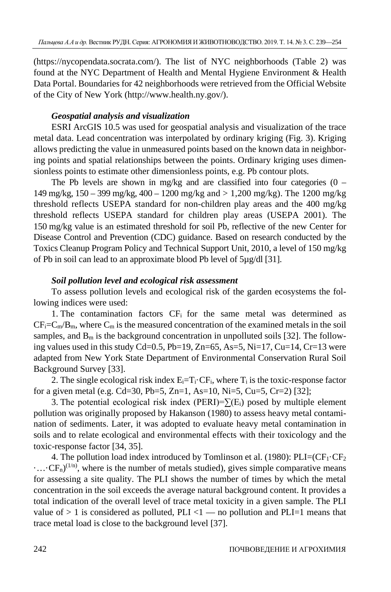(https:/[/nycopendata.socrata.com/\)](https://nycopendata.socrata.com/). The list of NYC neighborhoods (Table 2) was found at the NYC Department of Health and Mental Hygiene Environment & Health Data Portal. Boundaries for 42 neighborhoods were retrieved from the Official Website of the City of New York (http://www.health.ny.gov/).

# *Geospatial analysis and visualization*

ESRI ArcGIS 10.5 was used for geospatial analysis and visualization of the trace metal data. Lead concentration was interpolated by ordinary kriging (Fig. 3). Kriging allows predicting the value in unmeasured points based on the known data in neighboring points and spatial relationships between the points. Ordinary kriging uses dimensionless points to estimate other dimensionless points, e.g. Pb contour plots.

The Pb levels are shown in mg/kg and are classified into four categories  $(0 -$ 149 mg/kg, 150 – 399 mg/kg, 400 – 1200 mg/kg and > 1,200 mg/kg). The 1200 mg/kg threshold reflects USEPA standard for non-children play areas and the 400 mg/kg threshold reflects USEPA standard for children play areas (USEPA 2001). The 150 mg/kg value is an estimated threshold for soil Pb, reflective of the new Center for Disease Control and Prevention (CDC) guidance. Based on research conducted by the Toxics Cleanup Program Policy and Technical Support Unit, 2010, a level of 150 mg/kg of Pb in soil can lead to an approximate blood Pb level of 5µg/dl [31].

# *Soil pollution level and ecological risk assessment*

To assess pollution levels and ecological risk of the garden ecosystems the following indices were used:

1. The contamination factors CFi for the same metal was determined as  $CF_i=C_m/B_m$ , where  $C_m$  is the measured concentration of the examined metals in the soil samples, and  $B_m$  is the background concentration in unpolluted soils [32]. The following values used in this study  $Cd = 0.5$ ,  $Pb = 19$ ,  $Zn = 65$ ,  $As = 5$ ,  $Ni = 17$ ,  $Cu = 14$ ,  $Cr = 13$  were adapted from New York State Department of Environmental Conservation Rural Soil Background Survey [33].

2. The single ecological risk index  $E_i=T_i\cdot CF_i$ , where  $T_i$  is the toxic-response factor for a given metal (e.g. Cd=30, Pb=5, Zn=1, As=10, Ni=5, Cu=5, Cr=2) [32];

3. The potential ecological risk index (PERI)= $\Sigma(E_i)$  posed by multiple element pollution was originally proposed by Hakanson (1980) to assess heavy metal contamination of sediments. Later, it was adopted to evaluate heavy metal contamination in soils and to relate ecological and environmental effects with their toxicology and the toxic-response factor [34, 35].

4. The pollution load index introduced by Tomlinson et al. (1980):  $PLI=(CF_1 \nvert CF_2)$  $\cdots$  CF<sub>n</sub>)<sup>(1/n)</sup>, where is the number of metals studied), gives simple comparative means for assessing a site quality. The PLI shows the number of times by which the metal concentration in the soil exceeds the average natural background content. It provides a total indication of the overall level of trace metal toxicity in a given sample. The PLI value of  $> 1$  is considered as polluted, PLI <1 — no pollution and PLI=1 means that trace metal load is close to the background level [37].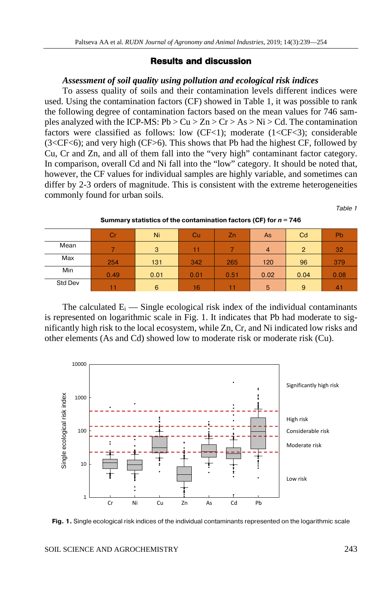#### **Results and discussion**

#### *Assessment of soil quality using pollution and ecological risk indices*

To assess quality of soils and their contamination levels different indices were used. Using the contamination factors (CF) showed in Table 1, it was possible to rank the following degree of contamination factors based on the mean values for 746 samples analyzed with the ICP-MS:  $Pb > Cu > Zn > Cr > As > Ni > Cd$ . The contamination factors were classified as follows: low  $(CF<1)$ ; moderate  $(1 < CF<3)$ ; considerable (3<CF<6); and very high (CF>6). This shows that Pb had the highest CF, followed by Cu, Cr and Zn, and all of them fall into the "very high" contaminant factor category. In comparison, overall Cd and Ni fall into the "low" category. It should be noted that, however, the CF values for individual samples are highly variable, and sometimes can differ by 2-3 orders of magnitude. This is consistent with the extreme heterogeneities commonly found for urban soils.

*Table 1*

|         | Cr   | Ni   | Cu   | $\overline{2n}$ | As             | Cd             | Pb   |
|---------|------|------|------|-----------------|----------------|----------------|------|
| Mean    |      | 3    |      |                 | $\overline{4}$ | $\overline{2}$ | 32   |
| Max     | 254  | 131  | 342  | 265             | 120            | 96             | 379  |
| Min     | 0.49 | 0.01 | 0.01 | 0.51            | 0.02           | 0.04           | 0.08 |
| Std Dev |      | 6    | 16   |                 | 5              | 9              | 41   |

**Summary statistics of the contamination factors (CF) for** *n* **= 746**

The calculated  $E_i$  — Single ecological risk index of the individual contaminants is represented on logarithmic scale in Fig. 1. It indicates that Pb had moderate to significantly high risk to the local ecosystem, while Zn, Cr, and Ni indicated low risks and other elements (As and Cd) showed low to moderate risk or moderate risk (Cu).

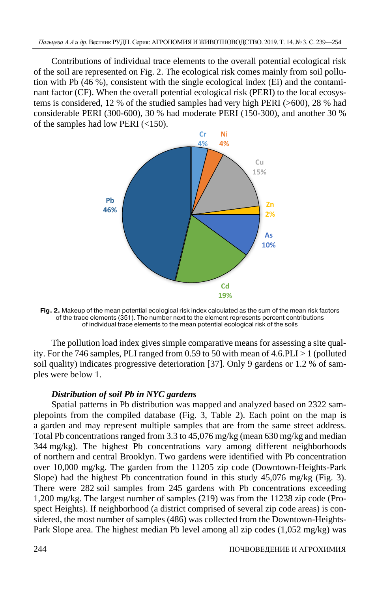Contributions of individual trace elements to the overall potential ecological risk of the soil are represented on Fig. 2. The ecological risk comes mainly from soil pollution with Pb (46 %), consistent with the single ecological index (Ei) and the contaminant factor (CF). When the overall potential ecological risk (PERI) to the local ecosystems is considered, 12 % of the studied samples had very high PERI (>600), 28 % had considerable PERI (300-600), 30 % had moderate PERI (150-300), and another 30 % of the samples had low PERI (<150).



**Fig. 2.** Makeup of the mean potential ecological risk index calculated as the sum of the mean risk factors of the trace elements (351). The number next to the element represents percent contributions of individual trace elements to the mean potential ecological risk of the soils

The pollution load index gives simple comparative means for assessing a site quality. For the 746 samples, PLI ranged from 0.59 to 50 with mean of  $4.6$ . PLI  $>1$  (polluted soil quality) indicates progressive deterioration [37]. Only 9 gardens or 1.2 % of samples were below 1.

## *Distribution of soil Pb in NYC gardens*

Spatial patterns in Pb distribution was mapped and analyzed based on 2322 samplepoints from the compiled database (Fig. 3, Table 2). Each point on the map is a garden and may represent multiple samples that are from the same street address. Total Pb concentrations ranged from 3.3 to 45,076 mg/kg (mean 630 mg/kg and median 344 mg/kg). The highest Pb concentrations vary among different neighborhoods of northern and central Brooklyn. Two gardens were identified with Pb concentration over 10,000 mg/kg. The garden from the 11205 zip code (Downtown-Heights-Park Slope) had the highest Pb concentration found in this study 45,076 mg/kg (Fig. 3). There were 282 soil samples from 245 gardens with Pb concentrations exceeding 1,200 mg/kg. The largest number of samples (219) was from the 11238 zip code (Prospect Heights). If neighborhood (a district comprised of several zip code areas) is considered, the most number of samples (486) was collected from the Downtown-Heights-Park Slope area. The highest median Pb level among all zip codes (1,052 mg/kg) was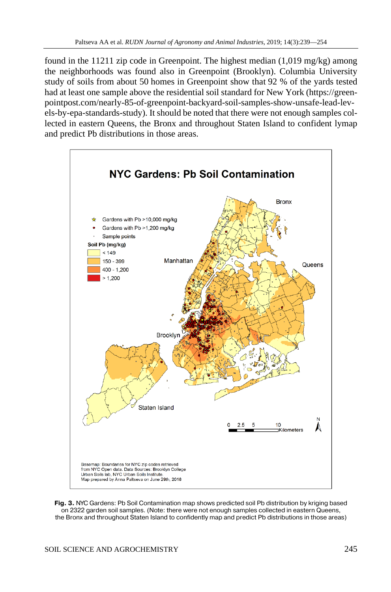found in the 11211 zip code in Greenpoint. The highest median  $(1,019 \text{ mg/kg})$  among the neighborhoods was found also in Greenpoint (Brooklyn). Columbia University study of soils from about 50 homes in Greenpoint show that 92 % of the yards tested had at least one sample above the residential soil standard for New York [\(https://green](https://greenpointpost.com/nearly-85-of-greenpoint-backyard-soil-samples-show-unsafe-lead-levels-by-epa-standards-study)[pointpost.com/nearly-85-of-greenpoint-backyard-soil-samples-show-unsafe-lead-lev](https://greenpointpost.com/nearly-85-of-greenpoint-backyard-soil-samples-show-unsafe-lead-levels-by-epa-standards-study)[els-by-epa-standards-study\)](https://greenpointpost.com/nearly-85-of-greenpoint-backyard-soil-samples-show-unsafe-lead-levels-by-epa-standards-study). It should be noted that there were not enough samples collected in eastern Queens, the Bronx and throughout Staten Island to confident lymap and predict Pb distributions in those areas.



**Fig. 3.** NYC Gardens: Pb Soil Contamination map shows predicted soil Pb distribution by kriging based on 2322 garden soil samples. (Note: there were not enough samples collected in eastern Queens, the Bronx and throughout Staten Island to confidently map and predict Pb distributions in those areas)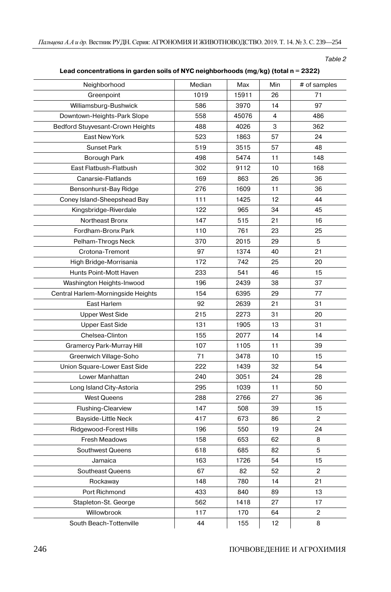*Table 2*

| Lead concentrations in garden soils of NYC neighborhoods ( $mg/kg$ ) (total $n = 2322$ ) |  |  |
|------------------------------------------------------------------------------------------|--|--|
|------------------------------------------------------------------------------------------|--|--|

| Neighborhood                            | Median | Max   | Min | # of samples   |
|-----------------------------------------|--------|-------|-----|----------------|
| Greenpoint                              | 1019   | 15911 | 26  | 71             |
| Williamsburg-Bushwick                   | 586    | 3970  | 14  | 97             |
| Downtown-Heights-Park Slope             | 558    | 45076 | 4   | 486            |
| <b>Bedford Stuyvesant-Crown Heights</b> | 488    | 4026  | 3   | 362            |
| East New York                           | 523    | 1863  | 57  | 24             |
| <b>Sunset Park</b>                      | 519    | 3515  | 57  | 48             |
| Borough Park                            | 498    | 5474  | 11  | 148            |
| East Flatbush-Flatbush                  | 302    | 9112  | 10  | 168            |
| Canarsie-Flatlands                      | 169    | 863   | 26  | 36             |
| Bensonhurst-Bay Ridge                   | 276    | 1609  | 11  | 36             |
| Coney Island-Sheepshead Bay             | 111    | 1425  | 12  | 44             |
| Kingsbridge-Riverdale                   | 122    | 965   | 34  | 45             |
| Northeast Bronx                         | 147    | 515   | 21  | 16             |
| Fordham-Bronx Park                      | 110    | 761   | 23  | 25             |
| Pelham-Throgs Neck                      | 370    | 2015  | 29  | 5              |
| Crotona-Tremont                         | 97     | 1374  | 40  | 21             |
| High Bridge-Morrisania                  | 172    | 742   | 25  | 20             |
| Hunts Point-Mott Haven                  | 233    | 541   | 46  | 15             |
| Washington Heights-Inwood               | 196    | 2439  | 38  | 37             |
| Central Harlem-Morningside Heights      | 154    | 6395  | 29  | 77             |
| East Harlem                             | 92     | 2639  | 21  | 31             |
| <b>Upper West Side</b>                  | 215    | 2273  | 31  | 20             |
| <b>Upper East Side</b>                  | 131    | 1905  | 13  | 31             |
| Chelsea-Clinton                         | 155    | 2077  | 14  | 14             |
| Gramercy Park-Murray Hill               | 107    | 1105  | 11  | 39             |
| Greenwich Village-Soho                  | 71     | 3478  | 10  | 15             |
| Union Square-Lower East Side            | 222    | 1439  | 32  | 54             |
| Lower Manhattan                         | 240    | 3051  | 24  | 28             |
| Long Island City-Astoria                | 295    | 1039  | 11  | 50             |
| <b>West Queens</b>                      | 288    | 2766  | 27  | 36             |
| Flushing-Clearview                      | 147    | 508   | 39  | 15             |
| Bayside-Little Neck                     | 417    | 673   | 86  | $\overline{c}$ |
| Ridgewood-Forest Hills                  | 196    | 550   | 19  | 24             |
| Fresh Meadows                           | 158    | 653   | 62  | 8              |
| Southwest Queens                        | 618    | 685   | 82  | 5              |
| Jamaica                                 | 163    | 1726  | 54  | 15             |
| Southeast Queens                        | 67     | 82    | 52  | 2              |
| Rockaway                                | 148    | 780   | 14  | 21             |
| Port Richmond                           | 433    | 840   | 89  | 13             |
| Stapleton-St. George                    | 562    | 1418  | 27  | 17             |
| Willowbrook                             | 117    | 170   | 64  | $\overline{c}$ |
| South Beach-Tottenville                 | 44     | 155   | 12  | 8              |
|                                         |        |       |     |                |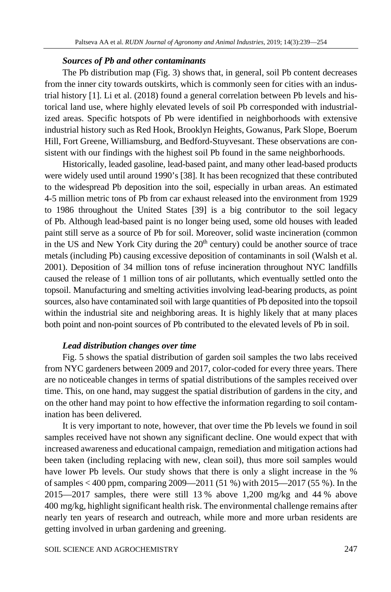#### *Sources of Pb and other contaminants*

The Pb distribution map (Fig. 3) shows that, in general, soil Pb content decreases from the inner city towards outskirts, which is commonly seen for cities with an industrial history [1]. Li et al. (2018) found a general correlation between Pb levels and historical land use, where highly elevated levels of soil Pb corresponded with industrialized areas. Specific hotspots of Pb were identified in neighborhoods with extensive industrial history such as Red Hook, Brooklyn Heights, Gowanus, Park Slope, Boerum Hill, Fort Greene, Williamsburg, and Bedford-Stuyvesant. These observations are consistent with our findings with the highest soil Pb found in the same neighborhoods.

Historically, leaded gasoline, lead-based paint, and many other lead-based products were widely used until around 1990's [38]. It has been recognized that these contributed to the widespread Pb deposition into the soil, especially in urban areas. An estimated 4-5 million metric tons of Pb from car exhaust released into the environment from 1929 to 1986 throughout the United States [39] is a big contributor to the soil legacy of Pb. Although lead-based paint is no longer being used, some old houses with leaded paint still serve as a source of Pb for soil. Moreover, solid waste incineration (common in the US and New York City during the  $20<sup>th</sup>$  century) could be another source of trace metals (including Pb) causing excessive deposition of contaminants in soil (Walsh et al. 2001). Deposition of 34 million tons of refuse incineration throughout NYC landfills caused the release of 1 million tons of air pollutants, which eventually settled onto the topsoil. Manufacturing and smelting activities involving lead-bearing products, as point sources, also have contaminated soil with large quantities of Pb deposited into the topsoil within the industrial site and neighboring areas. It is highly likely that at many places both point and non-point sources of Pb contributed to the elevated levels of Pb in soil.

## *Lead distribution changes over time*

Fig. 5 shows the spatial distribution of garden soil samples the two labs received from NYC gardeners between 2009 and 2017, color-coded for every three years. There are no noticeable changes in terms of spatial distributions of the samples received over time. This, on one hand, may suggest the spatial distribution of gardens in the city, and on the other hand may point to how effective the information regarding to soil contamination has been delivered.

It is very important to note, however, that over time the Pb levels we found in soil samples received have not shown any significant decline. One would expect that with increased awareness and educational campaign, remediation and mitigation actions had been taken (including replacing with new, clean soil), thus more soil samples would have lower Pb levels. Our study shows that there is only a slight increase in the % of samples < 400 ppm, comparing 2009—2011 (51 %) with 2015—2017 (55 %). In the 2015—2017 samples, there were still 13 % above 1,200 mg/kg and 44 % above 400 mg/kg, highlight significant health risk. The environmental challenge remains after nearly ten years of research and outreach, while more and more urban residents are getting involved in urban gardening and greening.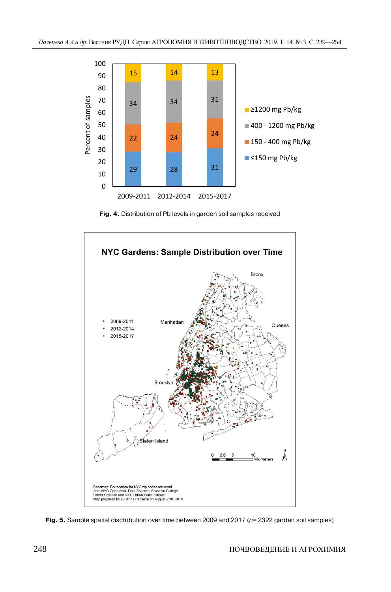

**Fig. 4.** Distribution of Pb levels in garden soil samples received



**Fig. 5.** Sample spatial disctribution over time between 2009 and 2017 (*n*= 2322 garden soil samples)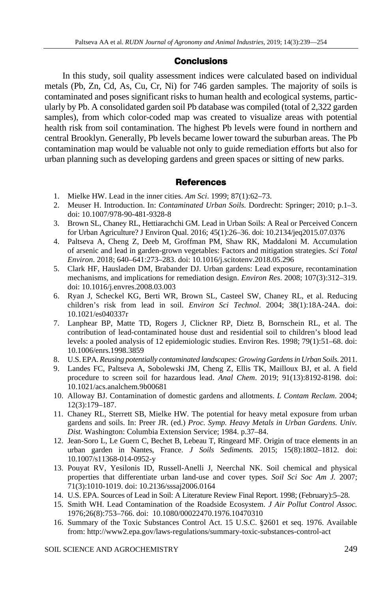# **Conclusions**

In this study, soil quality assessment indices were calculated based on individual metals (Pb, Zn, Cd, As, Cu, Cr, Ni) for 746 garden samples. The majority of soils is contaminated and poses significant risks to human health and ecological systems, particularly by Pb. A consolidated garden soil Pb database was compiled (total of 2,322 garden samples), from which color-coded map was created to visualize areas with potential health risk from soil contamination. The highest Pb levels were found in northern and central Brooklyn. Generally, Pb levels became lower toward the suburban areas. The Pb contamination map would be valuable not only to guide remediation efforts but also for urban planning such as developing gardens and green spaces or sitting of new parks.

# **References**

- 1. Mielke HW. Lead in the inner cities. *Am Sci*. 1999; 87(1):62–73.
- 2. Meuser H. Introduction. In: *Contaminated Urban Soils.* Dordrecht: Springer; 2010; p.1–3. doi: 10.1007/978-90-481-9328-8
- 3. Brown SL, Chaney RL, Hettiarachchi GM. Lead in Urban Soils: A Real or Perceived Concern for Urban Agriculture? J Environ Qual. 2016; 45(1):26–36. doi: 10.2134/jeq2015.07.0376
- 4. Paltseva A, Cheng Z, Deeb M, Groffman PM, Shaw RK, Maddaloni M. Accumulation of arsenic and lead in garden-grown vegetables: Factors and mitigation strategies. *Sci Total Environ*. 2018; 640–641:273–283. doi: 10.1016/j.scitotenv.2018.05.296
- 5. Clark HF, Hausladen DM, Brabander DJ. Urban gardens: Lead exposure, recontamination mechanisms, and implications for remediation design. *Environ Res*. 2008; 107(3):312–319. [doi: 10.1016/j.envres.2008.03.003](https://doi.org/10.1016/j.envres.2008.03.003)
- 6. Ryan J, Scheckel KG, Berti WR, Brown SL, Casteel SW, Chaney RL, et al. Reducing children's risk from lead in soil. *Environ Sci Technol*. 2004; 38(1):18A-24A. doi: 10.1021/es040337r
- 7. Lanphear BP, Matte TD, Rogers J, Clickner RP, Dietz B, Bornschein RL, et al. The contribution of lead-contaminated house dust and residential soil to children's blood lead levels: a pooled analysis of 12 epidemiologic studies. Environ Res. 1998; 79(1):51–68. [doi:](https://doi.org/10.1006/enrs.1998.3859)  [10.1006/enrs.1998.3859](https://doi.org/10.1006/enrs.1998.3859)
- 8. U.S. EPA. *Reusing potentially contaminated landscapes: Growing Gardens in Urban Soils*. 2011.
- 9. Landes FC, Paltseva A, Sobolewski JM, Cheng Z, Ellis TK, Mailloux BJ, et al. A field procedure to screen soil for hazardous lead. *Anal Chem*. 2019; 91(13):8192-8198. doi: 10.1021/acs.analchem.9b00681
- 10. Alloway BJ. Contamination of domestic gardens and allotments. *L Contam Reclam*. 2004; 12(3):179–187.
- 11. Chaney RL, Sterrett SB, Mielke HW. The potential for heavy metal exposure from urban gardens and soils. In: Preer JR. (ed.) *Proc. Symp. Heavy Metals in Urban Gardens. Univ. Dist.* Washington: Columbia Extension Service; 1984. p.37–84.
- 12. Jean-Soro L, Le Guern C, Bechet B, Lebeau T, Ringeard MF. Origin of trace elements in an urban garden in Nantes, France. *J Soils Sediments.* 2015; 15(8):1802–1812. doi: 10.1007/s11368-014-0952-y
- 13. Pouyat RV, Yesilonis ID, Russell-Anelli J, Neerchal NK. Soil chemical and physical properties that differentiate urban land-use and cover types. *Soil Sci Soc Am J.* 2007; 71(3):1010-1019. doi: 10.2136/sssaj2006.0164
- 14. U.S. EPA. Sources of Lead in Soil: A Literature Review Final Report. 1998; (February):5–28.
- 15. Smith WH. Lead Contamination of the Roadside Ecosystem. *J Air Pollut Control Assoc.* 1976;26(8):753–766. [doi: 10.1080/00022470.1976.10470310](https://doi.org/10.1080/00022470.1976.10470310)
- 16. Summary of the Toxic Substances Control Act. 15 U.S.C. §2601 et seq. 1976. Available from: http://www2.epa.gov/laws-regulations/summary-toxic-substances-control-act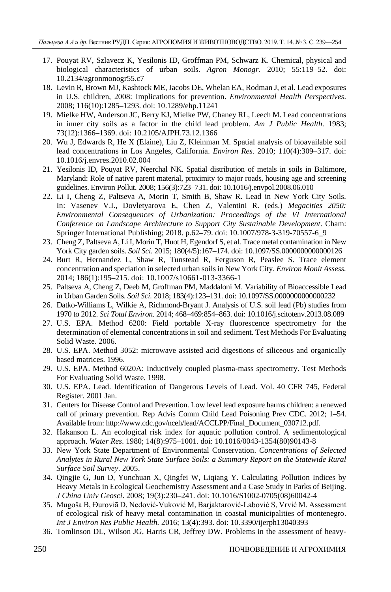- 17. Pouyat RV, Szlavecz K, Yesilonis ID, Groffman PM, Schwarz K. Chemical, physical and biological characteristics of urban soils. *Agron Monogr.* 2010; 55:119–52. doi: 10.2134/agronmonogr55.c7
- 18. Levin R, Brown MJ, Kashtock ME, Jacobs DE, Whelan EA, Rodman J, et al. Lead exposures in U.S. children, 2008: Implications for prevention. *Environmental Health Perspectives*. 2008; 116(10):1285–1293[. doi: 10.1289/ehp.11241](https://doi.org/10.1289/ehp.11241)
- 19. Mielke HW, Anderson JC, Berry KJ, Mielke PW, Chaney RL, Leech M. Lead concentrations in inner city soils as a factor in the child lead problem. *Am J Public Health*. 1983; 73(12):1366–1369. [doi: 10.2105/AJPH.73.12.1366](https://doi.org/10.2105/AJPH.73.12.1366)
- 20. Wu J, Edwards R, He X (Elaine), Liu Z, Kleinman M. Spatial analysis of bioavailable soil lead concentrations in Los Angeles, California. *Environ Res*. 2010; 110(4):309–317. doi: 10.1016/j.envres.2010.02.004
- 21. Yesilonis ID, Pouyat RV, Neerchal NK. Spatial distribution of metals in soils in Baltimore, Maryland: Role of native parent material, proximity to major roads, housing age and screening guidelines. Environ Pollut. 2008; 156(3):723–731[. doi: 10.1016/j.envpol.2008.06.010](https://doi.org/10.1016/j.envpol.2008.06.010)
- 22. Li I, Cheng Z, Paltseva A, Morin T, Smith B, Shaw R. Lead in New York City Soils. In: Vasenev V.I., Dovletyarova E, Chen Z, Valentini R. (eds.) *Megacities 2050: Environmental Consequences of Urbanization: Proceedings of the VI International Conference on Landscape Architecture to Support City Sustainable Development*. Cham: Springer International Publishing; 2018. p.62–79. doi: 10.1007/978-3-319-70557-6\_9
- 23. Cheng Z, Paltseva A, Li I, Morin T, Huot H, Egendorf S, et al. Trace metal contamination in New York City garden soils. *Soil Sci*. 2015; 180(4/5):167–174. doi: 10.1097/SS.0000000000000126
- 24. Burt R, Hernandez L, Shaw R, Tunstead R, Ferguson R, Peaslee S. Trace element concentration and speciation in selected urban soils in New York City. *Environ Monit Assess.* 2014; 186(1):195–215. doi: 10.1007/s10661-013-3366-1
- 25. Paltseva A, Cheng Z, Deeb M, Groffman PM, Maddaloni M. Variability of Bioaccessible Lead in Urban Garden Soils. *Soil Sci*. 2018; 183(4):123–131. doi: 10.1097/SS.0000000000000232
- 26. Datko-Williams L, Wilkie A, Richmond-Bryant J. Analysis of U.S. soil lead (Pb) studies from 1970 to 2012. *Sci Total Environ.* 2014; 468–469:854–863. doi: 10.1016/j.scitotenv.2013.08.089
- 27. U.S. EPA. Method 6200: Field portable X-ray fluorescence spectrometry for the determination of elemental concentrations in soil and sediment. Test Methods For Evaluating Solid Waste. 2006.
- 28. U.S. EPA. Method 3052: microwave assisted acid digestions of siliceous and organically based matrices. 1996.
- 29. U.S. EPA. Method 6020A: Inductively coupled plasma-mass spectrometry. Test Methods For Evaluating Solid Waste. 1998.
- 30. U.S. EPA. Lead. Identification of Dangerous Levels of Lead. Vol. 40 CFR 745, Federal Register. 2001 Jan.
- 31. Centers for Disease Control and Prevention. Low level lead exposure harms children: a renewed call of primary prevention. Rep Advis Comm Child Lead Poisoning Prev CDC. 2012; 1–54. Available from: http://www.cdc.gov/nceh/lead/ACCLPP/Final\_Document\_030712.pdf.
- 32. Hakanson L. An ecological risk index for aquatic pollution control. A sedimentological approach. *Water Res*. 1980; 14(8):975–1001[. doi: 10.1016/0043-1354\(80\)90143-8](https://doi.org/10.1016/0043-1354(80)90143-8)
- 33. New York State Department of Environmental Conservation. *Concentrations of Selected Analytes in Rural New York State Surface Soils: a Summary Report on the Statewide Rural Surface Soil Survey*. 2005.
- 34. Qingjie G, Jun D, Yunchuan X, Qingfei W, Liqiang Y. Calculating Pollution Indices by Heavy Metals in Ecological Geochemistry Assessment and a Case Study in Parks of Beijing. *J China Univ Geosci*. 2008; 19(3):230–241. [doi: 10.1016/S1002-0705\(08\)60042-4](https://doi.org/10.1016/S1002-0705(08)60042-4)
- 35. Mugoša B, Ðuroviā D, Nedović-Vuković M, Barjaktarović-Labović S, Vrvić M. Assessment of ecological risk of heavy metal contamination in coastal municipalities of montenegro. *Int J Environ Res Public Health.* 2016; 13(4):393[. doi: 10.3390/ijerph13040393](https://doi.org/10.3390/ijerph13040393)
- 36. Tomlinson DL, Wilson JG, Harris CR, Jeffrey DW. Problems in the assessment of heavy-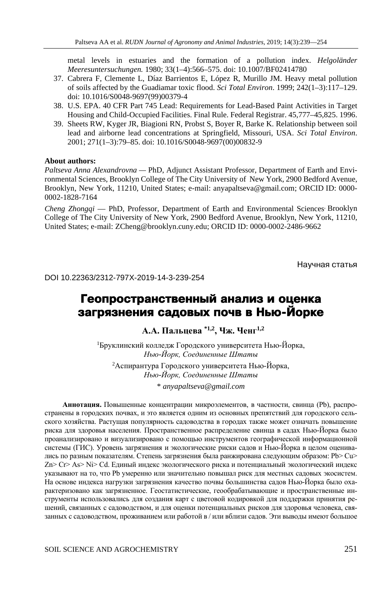metal levels in estuaries and the formation of a pollution index. *Helgoländer Meeresuntersuchungen.* 1980; 33(1–4):566–575. [doi: 10.1007/BF02414780](https://doi.org/10.1007/BF02414780)

- 37. Cabrera F, Clemente L, Díaz Barrientos E, López R, Murillo JM. Heavy metal pollution of soils affected by the Guadiamar toxic flood. *Sci Total Environ*. 1999; 242(1–3):117–129. [doi: 10.1016/S0048-9697\(99\)00379-4](https://doi.org/10.1016/S0048-9697(99)00379-4)
- 38. U.S. EPA. 40 CFR Part 745 Lead: Requirements for Lead-Based Paint Activities in Target Housing and Child-Occupied Facilities. Final Rule. Federal Registrar. 45,777–45,825. 1996.
- 39. Sheets RW, Kyger JR, Biagioni RN, Probst S, Boyer R, Barke K. Relationship between soil lead and airborne lead concentrations at Springfield, Missouri, USA. *Sci Total Environ*. 2001; 271(1–3):79–85[. doi: 10.1016/S0048-9697\(00\)00832-9](https://doi.org/10.1016/S0048-9697(00)00832-9)

#### **About authors:**

*Paltseva Anna Alexandrovna —* PhD, Adjunct Assistant Professor, Department of Earth and Environmental Sciences, Brooklyn College of The City University of New York, 2900 Bedford Avenue, Brooklyn, New York, 11210, United States; e-mail: anyapaltseva@gmail.com; ORCID ID: 0000- 0002-1828-7164

*Cheng Zhongqi* — PhD, Professor, Department of Earth and Environmental Sciences, Brooklyn College of The City University of New York, 2900 Bedford Avenue, Brooklyn, New York, 11210, United States; e-mail: ZCheng@brooklyn.cuny.edu; ORCID ID: 0000-0002-2486-9662

Научная статья

DOI 10.22363/2312-797X-2019-14-3-239-254

# **Геопространственный анализ и оценка загрязнения садовых почв в Нью-Йорке**

**А.А. Пальцева \*1,2, Чж. Ченг1,2**

1 Бруклинский колледж Городского университета Нью-Йорка, *Нью-Йорк, Соединенные Штаты*

2 Аспирантура Городского университета Нью-Йорка, *Нью-Йорк, Соединенные Штаты* \* *anyapaltseva@gmail.com*

**Аннотация.** Повышенные концентрации микроэлементов, в частности, свинца (Pb), распространены в городских почвах, и это является одним из основных препятствий для городского сельского хозяйства. Растущая популярность садоводства в городах также может означать повышение риска для здоровья населения. Пространственное распределение свинца в садах Нью-Йорка было проанализировано и визуализировано с помощью инструментов географической информационной системы (ГИС). Уровень загрязнения и экологические риски садов и Нью-Йорка в целом оценивались по разным показателям. Степень загрязнения была ранжирована следующим образом: Pb> Cu> Zn> Cr> As> Ni> Cd. Единый индекс экологического риска и потенциальный экологический индекс указывают на то, что Pb умеренно или значительно повышал риск для местных садовых экосистем. На основе индекса нагрузки загрязнения качество почвы большинства садов Нью-Йорка было охарактеризовано как загрязненное. Геостатистические, геообрабатывающие и пространственные инструменты использовались для создания карт с цветовой кодировкой для поддержки принятия решений, связанных с садоводством, и для оценки потенциальных рисков для здоровья человека, связанных с садоводством, проживанием или работой в / или вблизи садов. Эти выводы имеют большое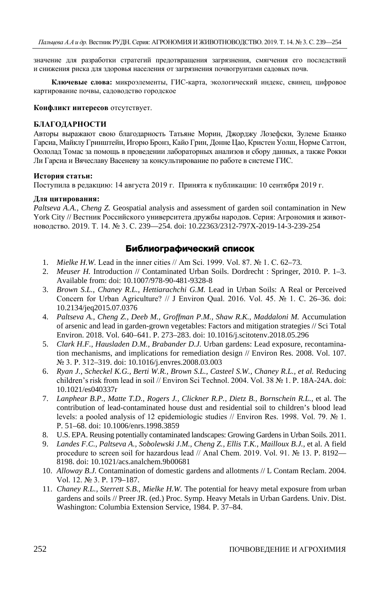значение для разработки стратегий предотвращения загрязнения, смягчения его последствий и снижения риска для здоровья населения от загрязнения почвогрунтами садовых почв.

**Ключевые слова:** микроэлементы, ГИС-карта, экологический индекс, свинец, цифровое картирование почвы, садоводство городское

**Конфликт интересов** отсутствует.

#### **БЛАГОДАРНОСТИ**

Авторы выражают свою благодарность Татьяне Морин, Джорджу Лозефски, Зулеме Бланко Гарсиа, Майклу Гринштейн, Игорю Бронз, Кайо Грин, Донне Цао, Кристен Уолш, Норме Саттон, Оололад Томас за помощь в проведении лабораторных анализов и сбору данных, а также Рокки Ли Гарсиа и Вячеславу Васеневу за консультирование по работе в системе ГИС.

#### **История статьи:**

Поступила в редакцию: 14 августа 2019 г. Принята к публикации: 10 сентября 2019 г.

#### **Для цитирования:**

*Paltseva A.A., Cheng Z.* Geospatial analysis and assessment of garden soil contamination in New York City // Вестник Российского университета дружбы народов. Серия: Агрономия и животноводство. 2019. Т. 14. № 3. С. 239—254. doi: 10.22363/2312-797X-2019-14-3-239-254

## **Библиографический список**

- 1. *Mielke H.W.* Lead in the inner cities // Am Sci. 1999. Vol. 87. № 1. С. 62–73.
- 2. *Meuser H.* Introduction // Contaminated Urban Soils. Dordrecht : Springer, 2010. P. 1–3. Available from: doi: 10.1007/978-90-481-9328-8
- 3. *Brown S.L., Chaney R.L., Hettiarachchi G.M.* Lead in Urban Soils: A Real or Perceived Concern for Urban Agriculture? // J Environ Qual. 2016. Vol. 45. № 1. С. 26–36. doi: 10.2134/jeq2015.07.0376
- 4. *Paltseva A., Cheng Z., Deeb M., Groffman P.M., Shaw R.K., Maddaloni M.* Accumulation of arsenic and lead in garden-grown vegetables: Factors and mitigation strategies // Sci Total Environ. 2018. Vol. 640–641. P. 273–283. doi: 10.1016/j.scitotenv.2018.05.296
- 5. *Clark H.F., Hausladen D.M., Brabander D.J.* Urban gardens: Lead exposure, recontamination mechanisms, and implications for remediation design // Environ Res. 2008. Vol. 107. № 3. P. 312–319. doi: 10.1016/j.envres.2008.03.003
- 6. *Ryan J., Scheckel K.G., Berti W.R., Brown S.L., Casteel S.W., Chaney R.L., et al.* Reducing children's risk from lead in soil // Environ Sci Technol. 2004. Vol. 38 № 1. Р. 18A-24A. doi: 10.1021/es040337r
- 7. *Lanphear B.P., Matte T.D., Rogers J., Clickner R.P., Dietz B., Bornschein R.L.,* et al. The contribution of lead-contaminated house dust and residential soil to children's blood lead levels: a pooled analysis of 12 epidemiologic studies // Environ Res. 1998. Vol. 79. № 1. Р. 51–68. doi: 10.1006/enrs.1998.3859
- 8. U.S. EPA. Reusing potentially contaminated landscapes: Growing Gardens in Urban Soils. 2011.
- 9. *Landes F.C., Paltseva A., Sobolewski J.M., Cheng Z., Ellis T.K., Mailloux B.J.,* et al. A field procedure to screen soil for hazardous lead // Anal Chem. 2019. Vol. 91. № 13. Р. 8192— 8198. doi: 10.1021/acs.analchem.9b00681
- 10. *Alloway B.J.* Contamination of domestic gardens and allotments // L Contam Reclam. 2004. Vol. 12. № 3. Р. 179–187.
- 11. *Chaney R.L., Sterrett S.B., Mielke H.W.* The potential for heavy metal exposure from urban gardens and soils // Preer JR. (ed.) Proc. Symp. Heavy Metals in Urban Gardens. Univ. Dist. Washington: Columbia Extension Service, 1984. P. 37–84.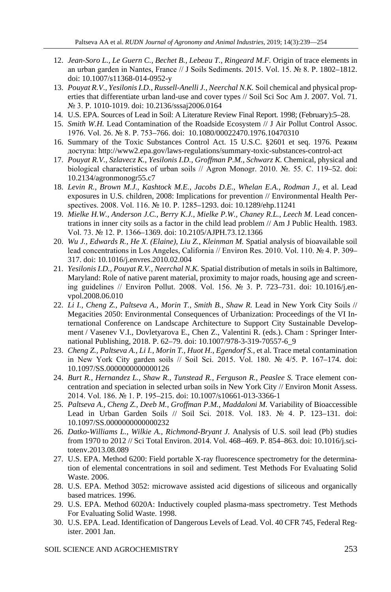- 12. *Jean-Soro L., Le Guern C., Bechet B., Lebeau T., Ringeard M.F.* Origin of trace elements in an urban garden in Nantes, France // J Soils Sediments. 2015. Vol. 15. № 8. Р. 1802–1812. doi: 10.1007/s11368-014-0952-y
- 13. *Pouyat R.V., Yesilonis I.D., Russell-Anelli J., Neerchal N.K.* Soil chemical and physical properties that differentiate urban land-use and cover types // Soil Sci Soc Am J. 2007. Vol. 71. № 3. Р. 1010-1019. doi: 10.2136/sssaj2006.0164
- 14. U.S. EPA. Sources of Lead in Soil: A Literature Review Final Report. 1998; (February):5–28.
- 15. *Smith W.H.* Lead Contamination of the Roadside Ecosystem // J Air Pollut Control Assoc. 1976. Vol. 26. № 8. P. 753–766. doi: 10.1080/00022470.1976.10470310
- 16. Summary of the Toxic Substances Control Act. 15 U.S.C. §2601 et seq. 1976. Режим доступа: http://www2.epa.gov/laws-regulations/summary-toxic-substances-control-act
- 17. *Pouyat R.V., Szlavecz K., Yesilonis I.D., Groffman P.M., Schwarz K.* Chemical, physical and biological characteristics of urban soils // Agron Monogr. 2010. №. 55. C. 119–52. doi: 10.2134/agronmonogr55.c7
- 18. *Levin R., Brown M.J., Kashtock M.E., Jacobs D.E., Whelan E.A., Rodman J.,* et al. Lead exposures in U.S. children, 2008: Implications for prevention // Environmental Health Perspectives. 2008. Vol. 116. № 10. P. 1285–1293. doi: 10.1289/ehp.11241
- 19. *Mielke H.W., Anderson J.C., Berry K.J., Mielke P.W., Chaney R.L., Leech M.* Lead concentrations in inner city soils as a factor in the child lead problem // Am J Public Health. 1983. Vol. 73. № 12. P. 1366–1369. doi: 10.2105/AJPH.73.12.1366
- 20. *Wu J., Edwards R., He X. (Elaine), Liu Z., Kleinman M.* Spatial analysis of bioavailable soil lead concentrations in Los Angeles, California // Environ Res. 2010. Vol. 110. № 4. P. 309– 317. doi: 10.1016/j.envres.2010.02.004
- 21. *Yesilonis I.D., Pouyat R.V., Neerchal N.K.* Spatial distribution of metals in soils in Baltimore, Maryland: Role of native parent material, proximity to major roads, housing age and screening guidelines // Environ Pollut. 2008. Vol. 156. № 3. Р. 723–731. doi: 10.1016/j.envpol.2008.06.010
- 22. *Li I., Cheng Z., Paltseva A., Morin T., Smith B., Shaw R.* Lead in New York City Soils // Megacities 2050: Environmental Consequences of Urbanization: Proceedings of the VI International Conference on Landscape Architecture to Support City Sustainable Development / Vasenev V.I., Dovletyarova E., Chen Z., Valentini R. (eds.). Cham : Springer International Publishing, 2018. P. 62–79. doi: 10.1007/978-3-319-70557-6\_9
- 23. *Cheng Z., Paltseva A., Li I., Morin T., Huot H., Egendorf S.,* et al. Trace metal contamination in New York City garden soils // Soil Sci. 2015. Vol. 180. № 4/5. P. 167–174. doi: 10.1097/SS.0000000000000126
- 24. *Burt R., Hernandez L., Shaw R., Tunstead R., Ferguson R., Peaslee S. Trace element con*centration and speciation in selected urban soils in New York City // Environ Monit Assess. 2014. Vol. 186. № 1. P. 195–215. doi: 10.1007/s10661-013-3366-1
- 25. *Paltseva A., Cheng Z., Deeb M., Groffman P.M., Maddaloni M.* Variability of Bioaccessible Lead in Urban Garden Soils // Soil Sci. 2018. Vol. 183. № 4. Р. 123–131. doi: 10.1097/SS.0000000000000232
- 26. *Datko-Williams L., Wilkie A., Richmond-Bryant J.* Analysis of U.S. soil lead (Pb) studies from 1970 to 2012 // Sci Total Environ. 2014. Vol. 468–469. P. 854–863. doi: 10.1016/j.scitotenv.2013.08.089
- 27. U.S. EPA. Method 6200: Field portable X-ray fluorescence spectrometry for the determination of elemental concentrations in soil and sediment. Test Methods For Evaluating Solid Waste. 2006.
- 28. U.S. EPA. Method 3052: microwave assisted acid digestions of siliceous and organically based matrices. 1996.
- 29. U.S. EPA. Method 6020A: Inductively coupled plasma-mass spectrometry. Test Methods For Evaluating Solid Waste. 1998.
- 30. U.S. EPA. Lead. Identification of Dangerous Levels of Lead. Vol. 40 CFR 745, Federal Register. 2001 Jan.